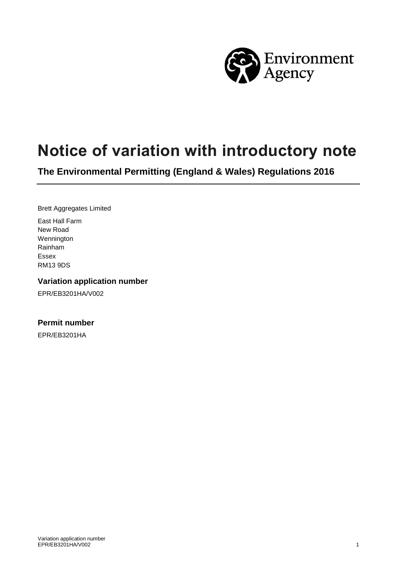

# **Notice of variation with introductory note**

**The Environmental Permitting (England & Wales) Regulations 2016**

Brett Aggregates Limited

East Hall Farm New Road Wennington Rainham Essex RM13 9DS

#### **Variation application number**

EPR/EB3201HA/V002

#### **Permit number**

EPR/EB3201HA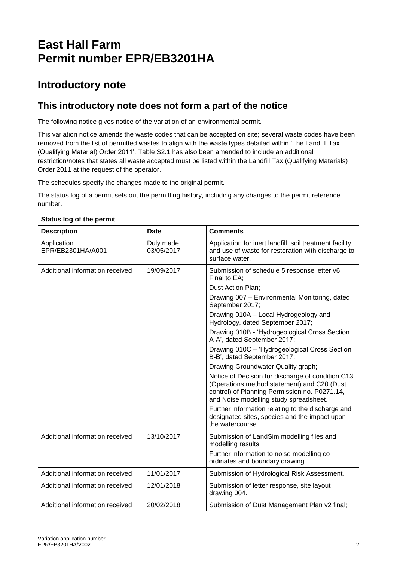# **East Hall Farm Permit number EPR/EB3201HA**

## **Introductory note**

### **This introductory note does not form a part of the notice**

The following notice gives notice of the variation of an environmental permit.

This variation notice amends the waste codes that can be accepted on site; several waste codes have been removed from the list of permitted wastes to align with the waste types detailed within 'The Landfill Tax (Qualifying Material) Order 2011'. Table S2.1 has also been amended to include an additional restriction/notes that states all waste accepted must be listed within the Landfill Tax (Qualifying Materials) Order 2011 at the request of the operator.

The schedules specify the changes made to the original permit.

The status log of a permit sets out the permitting history, including any changes to the permit reference number.

| Status log of the permit         |                         |                                                                                                                                                                                             |  |  |
|----------------------------------|-------------------------|---------------------------------------------------------------------------------------------------------------------------------------------------------------------------------------------|--|--|
| <b>Description</b>               | <b>Date</b>             | <b>Comments</b>                                                                                                                                                                             |  |  |
| Application<br>EPR/EB2301HA/A001 | Duly made<br>03/05/2017 | Application for inert landfill, soil treatment facility<br>and use of waste for restoration with discharge to<br>surface water.                                                             |  |  |
| Additional information received  | 19/09/2017              | Submission of schedule 5 response letter v6<br>Final to EA;                                                                                                                                 |  |  |
|                                  |                         | Dust Action Plan;                                                                                                                                                                           |  |  |
|                                  |                         | Drawing 007 - Environmental Monitoring, dated<br>September 2017;                                                                                                                            |  |  |
|                                  |                         | Drawing 010A - Local Hydrogeology and<br>Hydrology, dated September 2017;                                                                                                                   |  |  |
|                                  |                         | Drawing 010B - 'Hydrogeological Cross Section<br>A-A', dated September 2017;                                                                                                                |  |  |
|                                  |                         | Drawing 010C - 'Hydrogeological Cross Section<br>B-B', dated September 2017;                                                                                                                |  |  |
|                                  |                         | Drawing Groundwater Quality graph;                                                                                                                                                          |  |  |
|                                  |                         | Notice of Decision for discharge of condition C13<br>(Operations method statement) and C20 (Dust<br>control) of Planning Permission no. P0271.14,<br>and Noise modelling study spreadsheet. |  |  |
|                                  |                         | Further information relating to the discharge and<br>designated sites, species and the impact upon<br>the watercourse.                                                                      |  |  |
| Additional information received  | 13/10/2017              | Submission of LandSim modelling files and<br>modelling results;                                                                                                                             |  |  |
|                                  |                         | Further information to noise modelling co-<br>ordinates and boundary drawing.                                                                                                               |  |  |
| Additional information received  | 11/01/2017              | Submission of Hydrological Risk Assessment.                                                                                                                                                 |  |  |
| Additional information received  | 12/01/2018              | Submission of letter response, site layout<br>drawing 004.                                                                                                                                  |  |  |
| Additional information received  | 20/02/2018              | Submission of Dust Management Plan v2 final;                                                                                                                                                |  |  |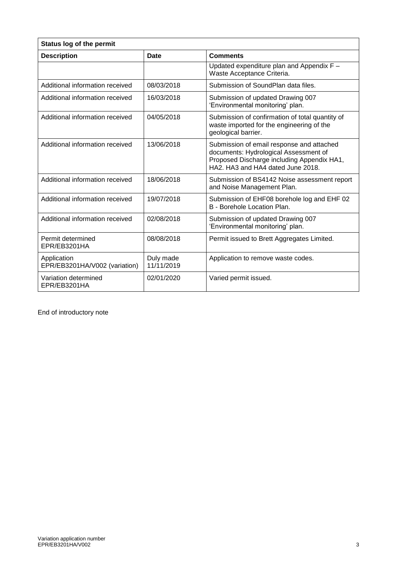| Status log of the permit                     |                         |                                                                                                                                                                       |  |  |
|----------------------------------------------|-------------------------|-----------------------------------------------------------------------------------------------------------------------------------------------------------------------|--|--|
| <b>Description</b>                           | Date                    | <b>Comments</b>                                                                                                                                                       |  |  |
|                                              |                         | Updated expenditure plan and Appendix F -<br>Waste Acceptance Criteria.                                                                                               |  |  |
| Additional information received              | 08/03/2018              | Submission of SoundPlan data files.                                                                                                                                   |  |  |
| Additional information received              | 16/03/2018              | Submission of updated Drawing 007<br>'Environmental monitoring' plan.                                                                                                 |  |  |
| Additional information received              | 04/05/2018              | Submission of confirmation of total quantity of<br>waste imported for the engineering of the<br>geological barrier.                                                   |  |  |
| Additional information received              | 13/06/2018              | Submission of email response and attached<br>documents: Hydrological Assessment of<br>Proposed Discharge including Appendix HA1,<br>HA2. HA3 and HA4 dated June 2018. |  |  |
| Additional information received              | 18/06/2018              | Submission of BS4142 Noise assessment report<br>and Noise Management Plan.                                                                                            |  |  |
| Additional information received              | 19/07/2018              | Submission of EHF08 borehole log and EHF 02<br>B - Borehole Location Plan.                                                                                            |  |  |
| Additional information received              | 02/08/2018              | Submission of updated Drawing 007<br>'Environmental monitoring' plan.                                                                                                 |  |  |
| Permit determined<br>EPR/EB3201HA            | 08/08/2018              | Permit issued to Brett Aggregates Limited.                                                                                                                            |  |  |
| Application<br>EPR/EB3201HA/V002 (variation) | Duly made<br>11/11/2019 | Application to remove waste codes.                                                                                                                                    |  |  |
| Variation determined<br>EPR/EB3201HA         | 02/01/2020              | Varied permit issued.                                                                                                                                                 |  |  |

End of introductory note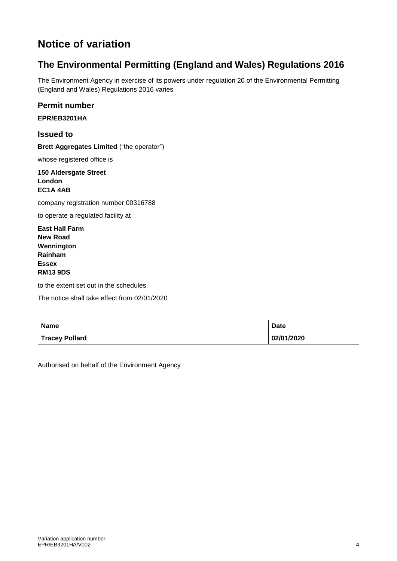# **Notice of variation**

### **The Environmental Permitting (England and Wales) Regulations 2016**

The Environment Agency in exercise of its powers under regulation 20 of the Environmental Permitting (England and Wales) Regulations 2016 varies

**Permit number**

**EPR/EB3201HA**

**Issued to**

**Brett Aggregates Limited** ("the operator")

whose registered office is

**150 Aldersgate Street London EC1A 4AB** 

company registration number 00316788

to operate a regulated facility at

**East Hall Farm New Road Wennington Rainham Essex RM13 9DS**

to the extent set out in the schedules.

The notice shall take effect from 02/01/2020

| <b>Name</b>           | <b>Date</b> |
|-----------------------|-------------|
| <b>Tracey Pollard</b> | 02/01/2020  |

Authorised on behalf of the Environment Agency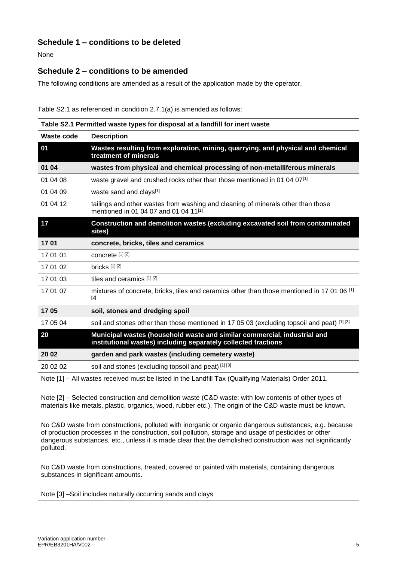### **Schedule 1 – conditions to be deleted**

None

#### **Schedule 2 – conditions to be amended**

The following conditions are amended as a result of the application made by the operator.

Table S2.1 as referenced in condition 2.7.1(a) is amended as follows:

| Table S2.1 Permitted waste types for disposal at a landfill for inert waste                         |                                                                                                                                            |  |
|-----------------------------------------------------------------------------------------------------|--------------------------------------------------------------------------------------------------------------------------------------------|--|
| Waste code                                                                                          | <b>Description</b>                                                                                                                         |  |
| 01                                                                                                  | Wastes resulting from exploration, mining, quarrying, and physical and chemical<br>treatment of minerals                                   |  |
| 01 04                                                                                               | wastes from physical and chemical processing of non-metalliferous minerals                                                                 |  |
| 01 04 08                                                                                            | waste gravel and crushed rocks other than those mentioned in 01 04 07[1]                                                                   |  |
| 01 04 09                                                                                            | waste sand and clays[1]                                                                                                                    |  |
| 01 04 12                                                                                            | tailings and other wastes from washing and cleaning of minerals other than those<br>mentioned in 01 04 07 and 01 04 11[1]                  |  |
| 17                                                                                                  | Construction and demolition wastes (excluding excavated soil from contaminated<br>sites)                                                   |  |
| 1701                                                                                                | concrete, bricks, tiles and ceramics                                                                                                       |  |
| 17 01 01                                                                                            | concrete [1] [2]                                                                                                                           |  |
| 17 01 02                                                                                            | bricks [1][2]                                                                                                                              |  |
| 17 01 03                                                                                            | tiles and ceramics [1] [2]                                                                                                                 |  |
| 17 01 07                                                                                            | mixtures of concrete, bricks, tiles and ceramics other than those mentioned in 17 01 06 [1]<br>[2]                                         |  |
| 1705                                                                                                | soil, stones and dredging spoil                                                                                                            |  |
| 17 05 04                                                                                            | soil and stones other than those mentioned in 17 05 03 (excluding topsoil and peat) [1][3]                                                 |  |
| 20                                                                                                  | Municipal wastes (household waste and similar commercial, industrial and<br>institutional wastes) including separately collected fractions |  |
| 20 02                                                                                               | garden and park wastes (including cemetery waste)                                                                                          |  |
| 20 02 02                                                                                            | soil and stones (excluding topsoil and peat) [1] [3]                                                                                       |  |
| Note [1] _ All wastes received must be listed in the Landfill Tay (Qualifying Materials) Order 2011 |                                                                                                                                            |  |

Note [1] – All wastes received must be listed in the Landfill Tax (Qualifying Materials) Order 2011.

Note [2] – Selected construction and demolition waste (C&D waste: with low contents of other types of materials like metals, plastic, organics, wood, rubber etc.). The origin of the C&D waste must be known.

No C&D waste from constructions, polluted with inorganic or organic dangerous substances, e.g. because of production processes in the construction, soil pollution, storage and usage of pesticides or other dangerous substances, etc., unless it is made clear that the demolished construction was not significantly polluted.

No C&D waste from constructions, treated, covered or painted with materials, containing dangerous substances in significant amounts.

Note [3] –Soil includes naturally occurring sands and clays